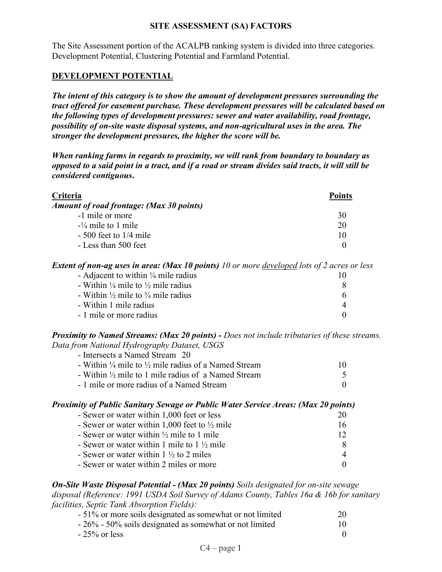### **SITE ASSESSMENT (SA) FACTORS**

The Site Assessment portion of the ACALPB ranking system is divided into three categories. Development Potential, Clustering Potential and Farmland Potential.

### **DEVELOPMENT POTENTIAL**

*The intent of this category is to show the amount of development pressures surrounding the tract offered for easement purchase. These development pressures will be calculated based on the following types of development pressures: sewer and water availability, road frontage, possibility of on-site waste disposal systems, and non-agricultural uses in the area. The stronger the development pressures, the higher the score will be.*

*When ranking farms in regards to proximity, we will rank from boundary to boundary as opposed to a said point in a tract, and if a road or stream divides said tracts, it will still be considered contiguous***.**

| Criteria                                 | <b>Points</b> |
|------------------------------------------|---------------|
| Amount of road frontage: (Max 30 points) |               |
| -1 mile or more                          | 30            |
| $-1/4$ mile to 1 mile                    | 20            |
| $-500$ feet to $1/4$ mile                | 10            |
| - Less than 500 feet                     |               |

*Extent of non-ag uses in area: (Max 10 points) 10 or more developed lots of 2 acres or less*

| - Adjacent to within $\frac{1}{4}$ mile radius           |  |
|----------------------------------------------------------|--|
| - Within $\frac{1}{4}$ mile to $\frac{1}{2}$ mile radius |  |
| - Within $\frac{1}{2}$ mile to $\frac{3}{4}$ mile radius |  |
| - Within 1 mile radius                                   |  |
| - 1 mile or more radius                                  |  |

*Proximity to Named Streams: (Max 20 points) - Does not include tributaries of these streams. Data from National Hydrography Dataset, USGS*

| - Intersects a Named Stream 20                                             |    |
|----------------------------------------------------------------------------|----|
|                                                                            |    |
| - Within $\frac{1}{4}$ mile to $\frac{1}{2}$ mile radius of a Named Stream | 10 |
| - Within $\frac{1}{2}$ mile to 1 mile radius of a Named Stream             |    |
| - 1 mile or more radius of a Named Stream                                  |    |

#### *Proximity of Public Sanitary Sewage or Public Water Service Areas: (Max 20 points)*

| - Sewer or water within 1,000 feet or less               | 20 |
|----------------------------------------------------------|----|
| - Sewer or water within 1,000 feet to $\frac{1}{2}$ mile | 16 |
| - Sewer or water within $\frac{1}{2}$ mile to 1 mile     | 12 |
| - Sewer or water within 1 mile to $1\frac{1}{2}$ mile    |    |
| - Sewer or water within $1\frac{1}{2}$ to 2 miles        |    |
| - Sewer or water within 2 miles or more                  |    |

*On-Site Waste Disposal Potential - (Max 20 points) Soils designated for on-site sewage disposal (Reference: 1991 USDA Soil Survey of Adams County, Tables 16a & 16b for sanitary facilities, Septic Tank Absorption Fields):*

| - 51% or more soils designated as somewhat or not limited | 20 |
|-----------------------------------------------------------|----|
| - 26% - 50% soils designated as somewhat or not limited   | 10 |
| $-25\%$ or less                                           |    |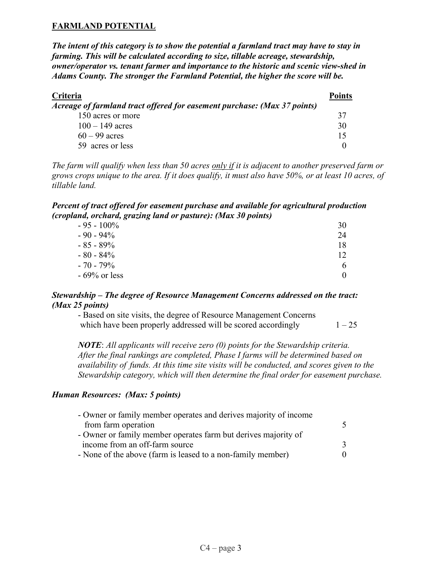## **FARMLAND POTENTIAL**

*The intent of this category is to show the potential a farmland tract may have to stay in farming. This will be calculated according to size, tillable acreage, stewardship, owner/operator vs. tenant farmer and importance to the historic and scenic view-shed in Adams County. The stronger the Farmland Potential, the higher the score will be.*

| Criteria                                                                 | <b>Points</b> |
|--------------------------------------------------------------------------|---------------|
| Acreage of farmland tract offered for easement purchase: (Max 37 points) |               |
| 150 acres or more                                                        | 37            |
| $100 - 149$ acres                                                        | 30            |
| $60 - 99$ acres                                                          | 15            |
| 59 acres or less                                                         |               |

*The farm will qualify when less than 50 acres only if it is adjacent to another preserved farm or grows crops unique to the area. If it does qualify, it must also have 50%, or at least 10 acres, of tillable land.*

#### *Percent of tract offered for easement purchase and available for agricultural production (cropland, orchard, grazing land or pasture): (Max 30 points)*

| $-95 - 100\%$   | 30           |
|-----------------|--------------|
| $-90 - 94\%$    | 24           |
| $-85 - 89\%$    | 18           |
| $-80 - 84\%$    | 12           |
| $-70 - 79\%$    | <sub>b</sub> |
| $-69\%$ or less |              |

### *Stewardship – The degree of Resource Management Concerns addressed on the tract: (Max 25 points)*

| - Based on site visits, the degree of Resource Management Concerns |          |
|--------------------------------------------------------------------|----------|
| which have been properly addressed will be scored accordingly      | $1 - 25$ |

*NOTE*: *All applicants will receive zero (0) points for the Stewardship criteria. After the final rankings are completed, Phase I farms will be determined based on availability of funds. At this time site visits will be conducted, and scores given to the Stewardship category, which will then determine the final order for easement purchase.*

### *Human Resources: (Max: 5 points)*

| - Owner or family member operates and derives majority of income |  |
|------------------------------------------------------------------|--|
| from farm operation                                              |  |
| - Owner or family member operates farm but derives majority of   |  |
| income from an off-farm source                                   |  |
| - None of the above (farm is leased to a non-family member)      |  |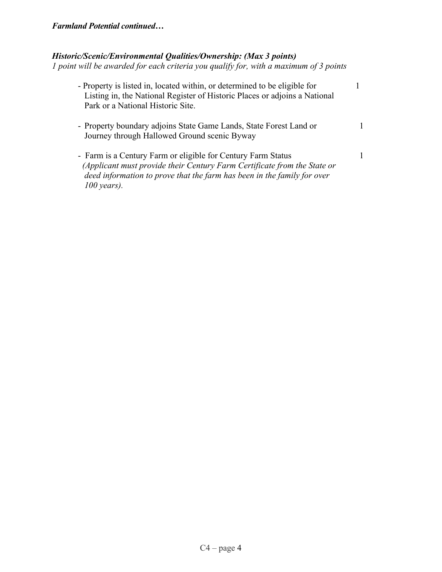# *Farmland Potential continued…*

## *Historic/Scenic/Environmental Qualities/Ownership: (Max 3 points)*

*1 point will be awarded for each criteria you qualify for, with a maximum of 3 points*

| - Property is listed in, located within, or determined to be eligible for<br>Listing in, the National Register of Historic Places or adjoins a National<br>Park or a National Historic Site.                                         |  |
|--------------------------------------------------------------------------------------------------------------------------------------------------------------------------------------------------------------------------------------|--|
| - Property boundary adjoins State Game Lands, State Forest Land or<br>Journey through Hallowed Ground scenic Byway                                                                                                                   |  |
| - Farm is a Century Farm or eligible for Century Farm Status<br>(Applicant must provide their Century Farm Certificate from the State or<br>deed information to prove that the farm has been in the family for over<br>$100$ years). |  |